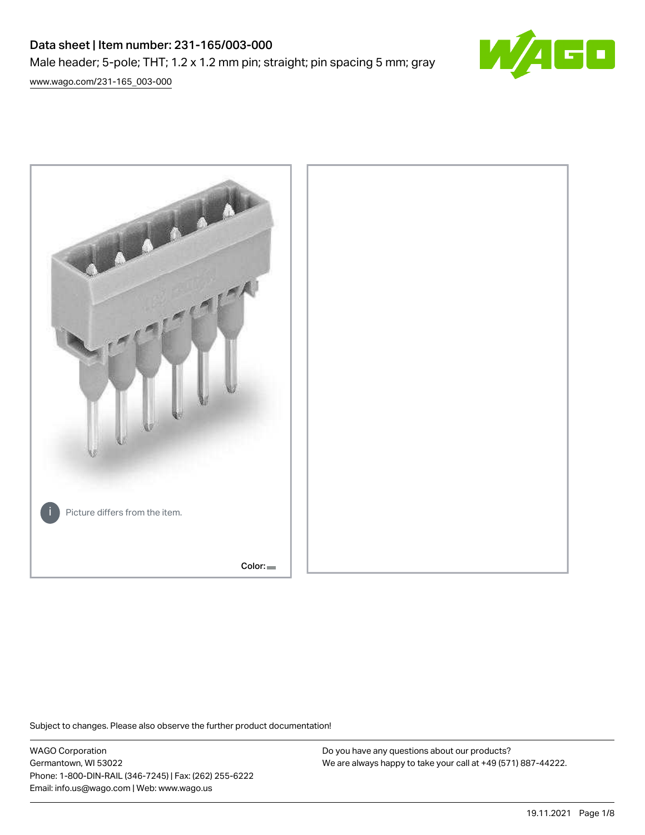# Data sheet | Item number: 231-165/003-000

Male header; 5-pole; THT; 1.2 x 1.2 mm pin; straight; pin spacing 5 mm; gray





Subject to changes. Please also observe the further product documentation!

WAGO Corporation Germantown, WI 53022 Phone: 1-800-DIN-RAIL (346-7245) | Fax: (262) 255-6222 Email: info.us@wago.com | Web: www.wago.us

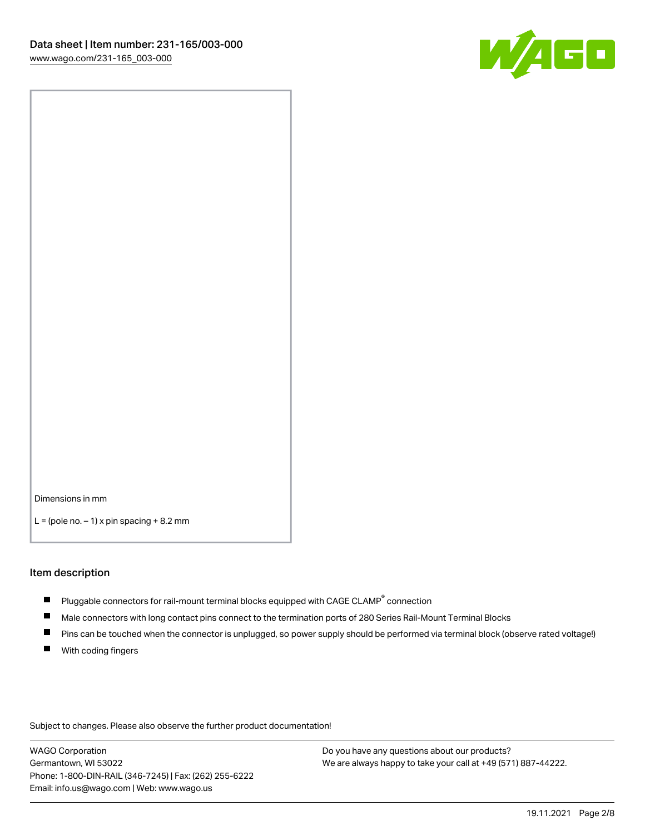

Dimensions in mm

 $L =$  (pole no.  $-1$ ) x pin spacing  $+8.2$  mm

#### Item description

- **P** Pluggable connectors for rail-mount terminal blocks equipped with CAGE CLAMP $^{\circ}$  connection
- Male connectors with long contact pins connect to the termination ports of 280 Series Rail-Mount Terminal Blocks
- $\blacksquare$ Pins can be touched when the connector is unplugged, so power supply should be performed via terminal block (observe rated voltage!)
- $\blacksquare$ With coding fingers

Subject to changes. Please also observe the further product documentation!

WAGO Corporation Germantown, WI 53022 Phone: 1-800-DIN-RAIL (346-7245) | Fax: (262) 255-6222 Email: info.us@wago.com | Web: www.wago.us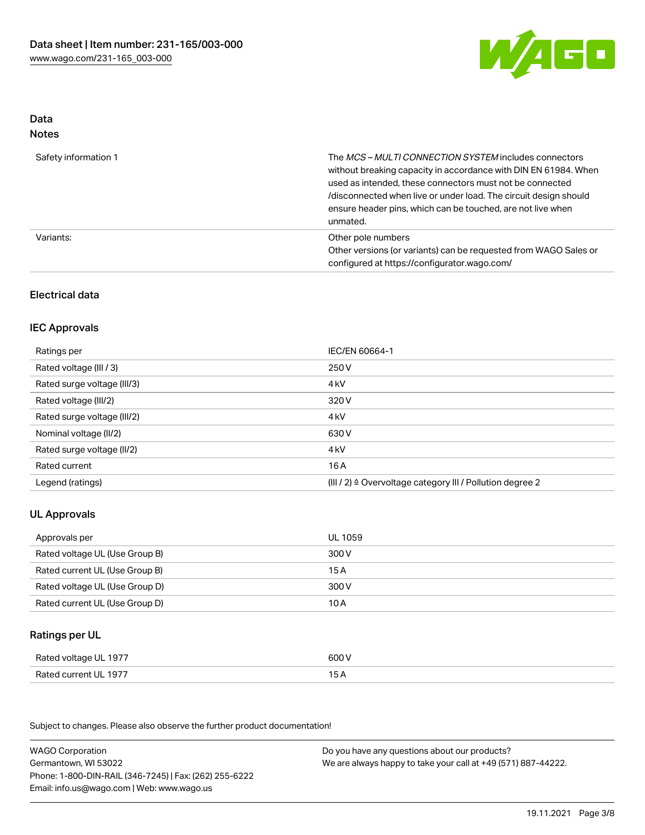

# Data Notes

| Safety information 1 | The MCS-MULTI CONNECTION SYSTEM includes connectors<br>without breaking capacity in accordance with DIN EN 61984. When<br>used as intended, these connectors must not be connected<br>/disconnected when live or under load. The circuit design should<br>ensure header pins, which can be touched, are not live when<br>unmated. |
|----------------------|-----------------------------------------------------------------------------------------------------------------------------------------------------------------------------------------------------------------------------------------------------------------------------------------------------------------------------------|
| Variants:            | Other pole numbers<br>Other versions (or variants) can be requested from WAGO Sales or<br>configured at https://configurator.wago.com/                                                                                                                                                                                            |

# Electrical data

## IEC Approvals

| Ratings per                 | IEC/EN 60664-1                                            |
|-----------------------------|-----------------------------------------------------------|
| Rated voltage (III / 3)     | 250 V                                                     |
| Rated surge voltage (III/3) | 4 <sub>k</sub> V                                          |
| Rated voltage (III/2)       | 320 V                                                     |
| Rated surge voltage (III/2) | 4 <sub>k</sub> V                                          |
| Nominal voltage (II/2)      | 630 V                                                     |
| Rated surge voltage (II/2)  | 4 <sub>k</sub> V                                          |
| Rated current               | 16 A                                                      |
| Legend (ratings)            | (III / 2) ≙ Overvoltage category III / Pollution degree 2 |

# UL Approvals

| Approvals per                  | UL 1059 |
|--------------------------------|---------|
| Rated voltage UL (Use Group B) | 300 V   |
| Rated current UL (Use Group B) | 15 A    |
| Rated voltage UL (Use Group D) | 300 V   |
| Rated current UL (Use Group D) | 10 A    |

# Ratings per UL

| Rated voltage UL 1977 | 600 V |
|-----------------------|-------|
| Rated current UL 1977 | 15A   |

Subject to changes. Please also observe the further product documentation!

| <b>WAGO Corporation</b>                                | Do you have any questions about our products?                 |
|--------------------------------------------------------|---------------------------------------------------------------|
| Germantown, WI 53022                                   | We are always happy to take your call at +49 (571) 887-44222. |
| Phone: 1-800-DIN-RAIL (346-7245)   Fax: (262) 255-6222 |                                                               |
| Email: info.us@wago.com   Web: www.wago.us             |                                                               |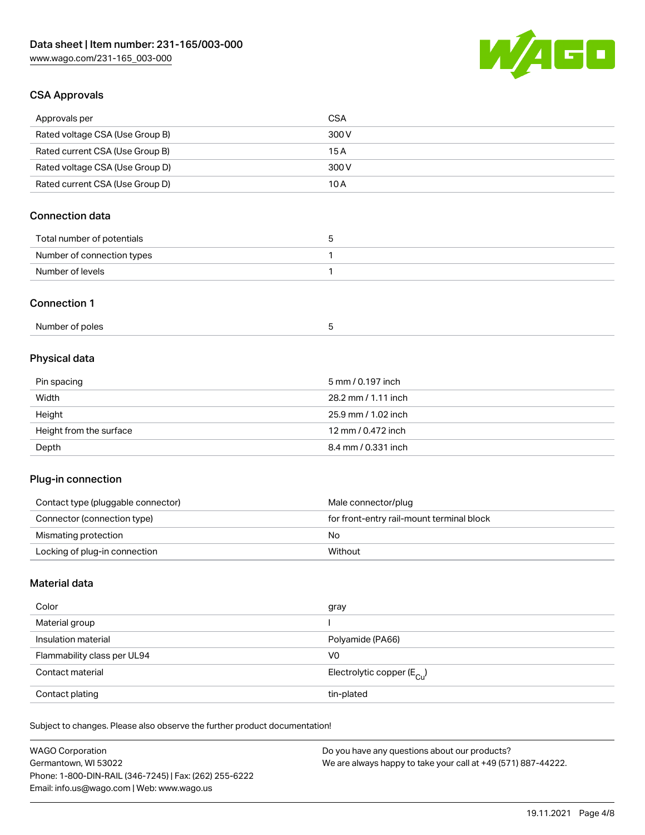

# CSA Approvals

| Approvals per                   | CSA   |
|---------------------------------|-------|
| Rated voltage CSA (Use Group B) | 300 V |
| Rated current CSA (Use Group B) | 15 A  |
| Rated voltage CSA (Use Group D) | 300 V |
| Rated current CSA (Use Group D) | 10 A  |

# Connection data

| Total number of potentials |  |
|----------------------------|--|
| Number of connection types |  |
| Number of levels           |  |

### Connection 1

| Number of poles |  |
|-----------------|--|
|                 |  |

# Physical data

| Pin spacing             | 5 mm / 0.197 inch   |
|-------------------------|---------------------|
| Width                   | 28.2 mm / 1.11 inch |
| Height                  | 25.9 mm / 1.02 inch |
| Height from the surface | 12 mm / 0.472 inch  |
| Depth                   | 8.4 mm / 0.331 inch |

## Plug-in connection

| Contact type (pluggable connector) | Male connector/plug                       |
|------------------------------------|-------------------------------------------|
| Connector (connection type)        | for front-entry rail-mount terminal block |
| Mismating protection               | Nο                                        |
| Locking of plug-in connection      | Without                                   |

# Material data

| Color                       | gray                                    |
|-----------------------------|-----------------------------------------|
| Material group              |                                         |
| Insulation material         | Polyamide (PA66)                        |
| Flammability class per UL94 | V0                                      |
| Contact material            | Electrolytic copper ( $E_{\text{Cu}}$ ) |
| Contact plating             | tin-plated                              |

Subject to changes. Please also observe the further product documentation!

| <b>WAGO Corporation</b>                                | Do you have any questions about our products?                 |
|--------------------------------------------------------|---------------------------------------------------------------|
| Germantown, WI 53022                                   | We are always happy to take your call at +49 (571) 887-44222. |
| Phone: 1-800-DIN-RAIL (346-7245)   Fax: (262) 255-6222 |                                                               |
| Email: info.us@wago.com   Web: www.wago.us             |                                                               |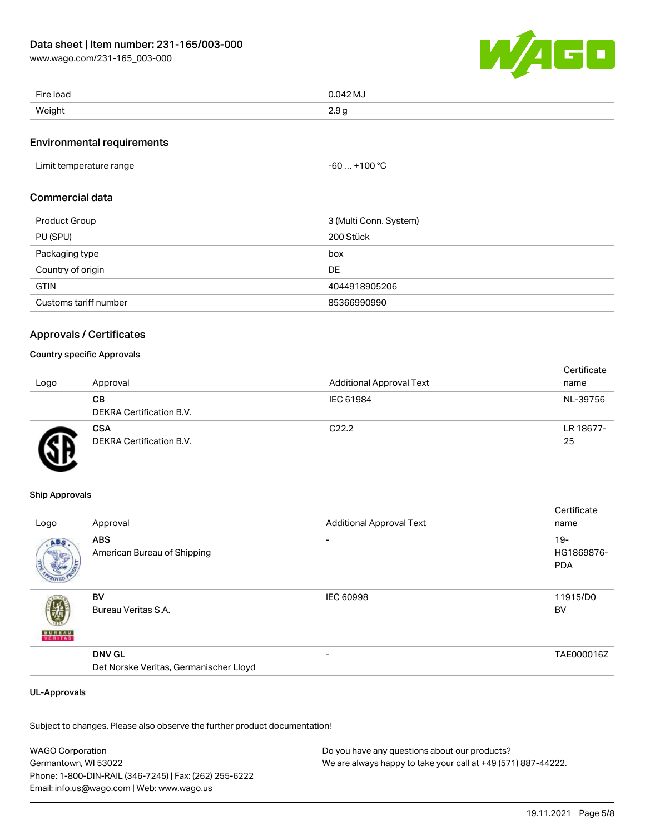

| Fire load | $0.042$ MJ |
|-----------|------------|
| Weight    | 2.9c       |

### Environmental requirements

# $-60... +100 °C$

#### Commercial data

| Product Group         | 3 (Multi Conn. System) |
|-----------------------|------------------------|
| PU (SPU)              | 200 Stück              |
| Packaging type        | box                    |
| Country of origin     | <b>DE</b>              |
| <b>GTIN</b>           | 4044918905206          |
| Customs tariff number | 85366990990            |

## Approvals / Certificates

## Country specific Approvals

| Logo | Approval                               | <b>Additional Approval Text</b> | Certificate<br>name |
|------|----------------------------------------|---------------------------------|---------------------|
|      | CВ<br><b>DEKRA Certification B.V.</b>  | IEC 61984                       | NL-39756            |
|      | <b>CSA</b><br>DEKRA Certification B.V. | C <sub>22.2</sub>               | LR 18677-<br>25     |

#### Ship Approvals

|               |                                        |                                 | Certificate |
|---------------|----------------------------------------|---------------------------------|-------------|
| Logo          | Approval                               | <b>Additional Approval Text</b> | name        |
| ABS           | <b>ABS</b>                             |                                 | $19 -$      |
|               | American Bureau of Shipping            |                                 | HG1869876-  |
|               |                                        |                                 | <b>PDA</b>  |
|               | <b>BV</b>                              | <b>IEC 60998</b>                | 11915/D0    |
|               | Bureau Veritas S.A.                    |                                 | BV          |
| <b>BUREAU</b> |                                        |                                 |             |
|               | <b>DNV GL</b>                          | $\overline{\phantom{0}}$        | TAE000016Z  |
|               | Det Norske Veritas, Germanischer Lloyd |                                 |             |

#### UL-Approvals

Subject to changes. Please also observe the further product documentation!

WAGO Corporation Germantown, WI 53022 Phone: 1-800-DIN-RAIL (346-7245) | Fax: (262) 255-6222 Email: info.us@wago.com | Web: www.wago.us Do you have any questions about our products? We are always happy to take your call at +49 (571) 887-44222.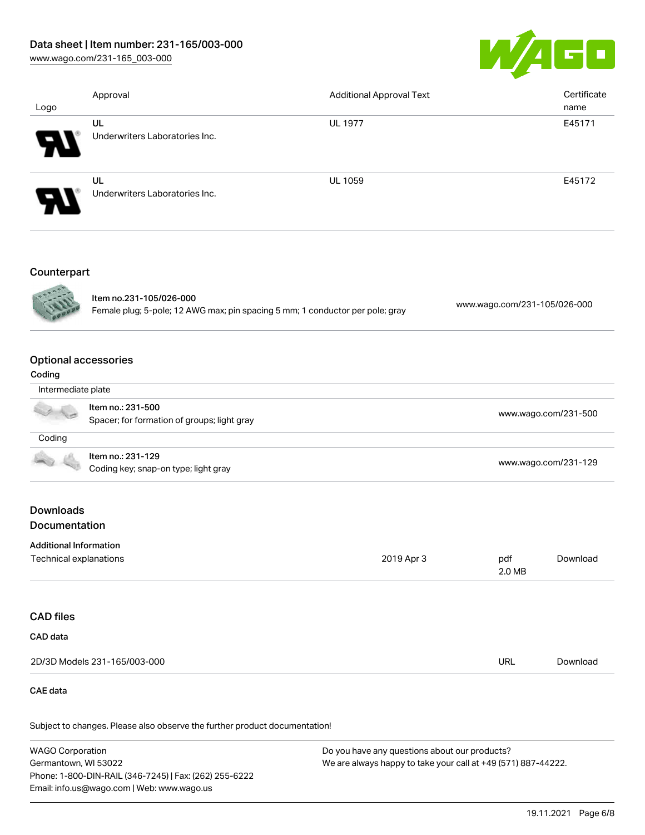## Data sheet | Item number: 231-165/003-000

Phone: 1-800-DIN-RAIL (346-7245) | Fax: (262) 255-6222

Email: info.us@wago.com | Web: www.wago.us

[www.wago.com/231-165\\_003-000](http://www.wago.com/231-165_003-000)



| Logo                                                    | Approval                                                                                                 | <b>Additional Approval Text</b>                                                                                |                              | Certificate<br>name  |
|---------------------------------------------------------|----------------------------------------------------------------------------------------------------------|----------------------------------------------------------------------------------------------------------------|------------------------------|----------------------|
|                                                         | UL<br>Underwriters Laboratories Inc.                                                                     | <b>UL 1977</b>                                                                                                 |                              | E45171               |
|                                                         | UL<br>Underwriters Laboratories Inc.                                                                     | UL 1059                                                                                                        |                              | E45172               |
| Counterpart                                             | Item no.231-105/026-000<br>Female plug; 5-pole; 12 AWG max; pin spacing 5 mm; 1 conductor per pole; gray |                                                                                                                | www.wago.com/231-105/026-000 |                      |
| <b>Optional accessories</b><br>Coding                   |                                                                                                          |                                                                                                                |                              |                      |
| Intermediate plate                                      |                                                                                                          |                                                                                                                |                              |                      |
|                                                         | Item no.: 231-500<br>Spacer; for formation of groups; light gray                                         |                                                                                                                | www.wago.com/231-500         |                      |
| Coding                                                  |                                                                                                          |                                                                                                                |                              |                      |
|                                                         | Item no.: 231-129<br>Coding key; snap-on type; light gray                                                |                                                                                                                |                              | www.wago.com/231-129 |
| <b>Downloads</b>                                        |                                                                                                          |                                                                                                                |                              |                      |
| Documentation                                           |                                                                                                          |                                                                                                                |                              |                      |
| <b>Additional Information</b><br>Technical explanations |                                                                                                          | 2019 Apr 3                                                                                                     | pdf<br>2.0 MB                | Download             |
| <b>CAD files</b>                                        |                                                                                                          |                                                                                                                |                              |                      |
| CAD data                                                |                                                                                                          |                                                                                                                |                              |                      |
|                                                         | 2D/3D Models 231-165/003-000                                                                             |                                                                                                                | <b>URL</b>                   | Download             |
| <b>CAE</b> data                                         |                                                                                                          |                                                                                                                |                              |                      |
|                                                         | Subject to changes. Please also observe the further product documentation!                               |                                                                                                                |                              |                      |
| <b>WAGO Corporation</b><br>Germantown, WI 53022         |                                                                                                          | Do you have any questions about our products?<br>We are always happy to take your call at +49 (571) 887-44222. |                              |                      |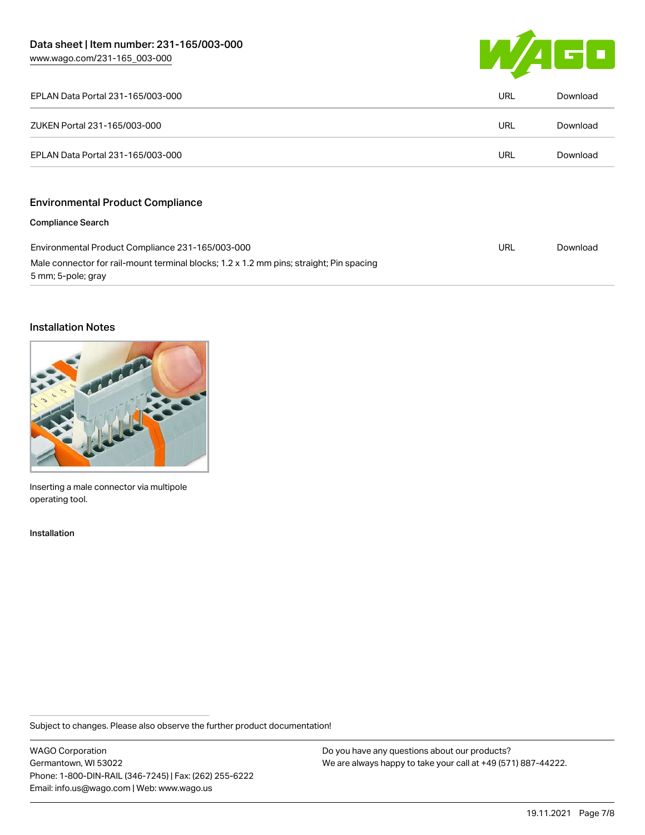

| EPLAN Data Portal 231-165/003-000                                                                             | URL | Download |
|---------------------------------------------------------------------------------------------------------------|-----|----------|
| ZUKEN Portal 231-165/003-000                                                                                  | URL | Download |
| EPLAN Data Portal 231-165/003-000                                                                             | URL | Download |
| <b>Environmental Product Compliance</b>                                                                       |     |          |
| <b>Compliance Search</b>                                                                                      |     |          |
| Environmental Product Compliance 231-165/003-000                                                              | URL | Download |
| Male connector for rail-mount terminal blocks; 1.2 x 1.2 mm pins; straight; Pin spacing<br>5 mm; 5-pole; gray |     |          |

## Installation Notes



Inserting a male connector via multipole operating tool.

#### Installation

Subject to changes. Please also observe the further product documentation!

WAGO Corporation Germantown, WI 53022 Phone: 1-800-DIN-RAIL (346-7245) | Fax: (262) 255-6222 Email: info.us@wago.com | Web: www.wago.us